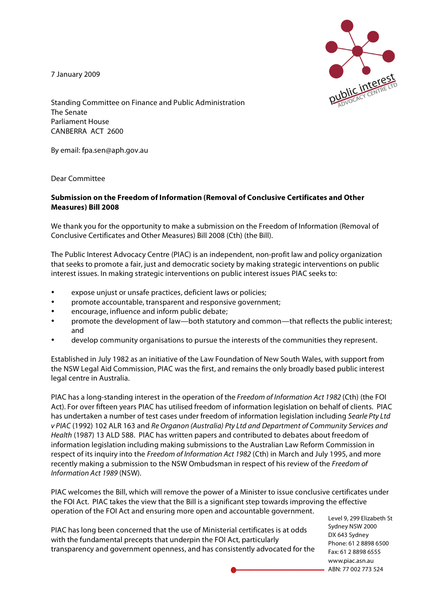7 January 2009



Standing Committee on Finance and Public Administration The Senate Parliament House CANBERRA ACT 2600

By email: fpa.sen@aph.gov.au

Dear Committee

## **Submission on the Freedom of Information (Removal of Conclusive Certificates and Other Measures) Bill 2008**

We thank you for the opportunity to make a submission on the Freedom of Information (Removal of Conclusive Certificates and Other Measures) Bill 2008 (Cth) (the Bill).

The Public Interest Advocacy Centre (PIAC) is an independent, non-profit law and policy organization that seeks to promote a fair, just and democratic society by making strategic interventions on public interest issues. In making strategic interventions on public interest issues PIAC seeks to:

- expose unjust or unsafe practices, deficient laws or policies;
- promote accountable, transparent and responsive government;
- encourage, influence and inform public debate;
- promote the development of law—both statutory and common—that reflects the public interest; and
- develop community organisations to pursue the interests of the communities they represent.

Established in July 1982 as an initiative of the Law Foundation of New South Wales, with support from the NSW Legal Aid Commission, PIAC was the first, and remains the only broadly based public interest legal centre in Australia.

PIAC has a long-standing interest in the operation of the Freedom of Information Act 1982 (Cth) (the FOI Act). For over fifteen years PIAC has utilised freedom of information legislation on behalf of clients. PIAC has undertaken a number of test cases under freedom of information legislation including Searle Pty Ltd v PIAC (1992) 102 ALR 163 and Re Organon (Australia) Pty Ltd and Department of Community Services and Health (1987) 13 ALD 588. PIAC has written papers and contributed to debates about freedom of information legislation including making submissions to the Australian Law Reform Commission in respect of its inquiry into the Freedom of Information Act 1982 (Cth) in March and July 1995, and more recently making a submission to the NSW Ombudsman in respect of his review of the Freedom of Information Act 1989 (NSW).

PIAC welcomes the Bill, which will remove the power of a Minister to issue conclusive certificates under the FOI Act. PIAC takes the view that the Bill is a significant step towards improving the effective operation of the FOI Act and ensuring more open and accountable government.

PIAC has long been concerned that the use of Ministerial certificates is at odds with the fundamental precepts that underpin the FOI Act, particularly transparency and government openness, and has consistently advocated for the

Level 9, 299 Elizabeth St Sydney NSW 2000 DX 643 Sydney Phone: 61 2 8898 6500 Fax: 61 2 8898 6555 www.piac.asn.au ABN: 77 002 773 524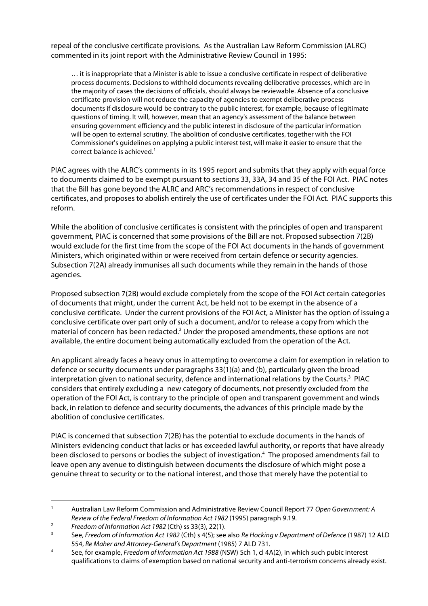repeal of the conclusive certificate provisions. As the Australian Law Reform Commission (ALRC) commented in its joint report with the Administrative Review Council in 1995:

… it is inappropriate that a Minister is able to issue a conclusive certificate in respect of deliberative process documents. Decisions to withhold documents revealing deliberative processes, which are in the majority of cases the decisions of officials, should always be reviewable. Absence of a conclusive certificate provision will not reduce the capacity of agencies to exempt deliberative process documents if disclosure would be contrary to the public interest, for example, because of legitimate questions of timing. It will, however, mean that an agency's assessment of the balance between ensuring government efficiency and the public interest in disclosure of the particular information will be open to external scrutiny. The abolition of conclusive certificates, together with the FOI Commissioner's guidelines on applying a public interest test, will make it easier to ensure that the correct balance is achieved. 1

PIAC agrees with the ALRC's comments in its 1995 report and submits that they apply with equal force to documents claimed to be exempt pursuant to sections 33, 33A, 34 and 35 of the FOI Act. PIAC notes that the Bill has gone beyond the ALRC and ARC's recommendations in respect of conclusive certificates, and proposes to abolish entirely the use of certificates under the FOI Act. PIAC supports this reform.

While the abolition of conclusive certificates is consistent with the principles of open and transparent government, PIAC is concerned that some provisions of the Bill are not. Proposed subsection 7(2B) would exclude for the first time from the scope of the FOI Act documents in the hands of government Ministers, which originated within or were received from certain defence or security agencies. Subsection 7(2A) already immunises all such documents while they remain in the hands of those agencies.

Proposed subsection 7(2B) would exclude completely from the scope of the FOI Act certain categories of documents that might, under the current Act, be held not to be exempt in the absence of a conclusive certificate. Under the current provisions of the FOI Act, a Minister has the option of issuing a conclusive certificate over part only of such a document, and/or to release a copy from which the material of concern has been redacted.<sup>2</sup> Under the proposed amendments, these options are not available, the entire document being automatically excluded from the operation of the Act.

An applicant already faces a heavy onus in attempting to overcome a claim for exemption in relation to defence or security documents under paragraphs 33(1)(a) and (b), particularly given the broad interpretation given to national security, defence and international relations by the Courts. <sup>3</sup> PIAC considers that entirely excluding a new category of documents, not presently excluded from the operation of the FOI Act, is contrary to the principle of open and transparent government and winds back, in relation to defence and security documents, the advances of this principle made by the abolition of conclusive certificates.

PIAC is concerned that subsection 7(2B) has the potential to exclude documents in the hands of Ministers evidencing conduct that lacks or has exceeded lawful authority, or reports that have already been disclosed to persons or bodies the subject of investigation. <sup>4</sup> The proposed amendments fail to leave open any avenue to distinguish between documents the disclosure of which might pose a genuine threat to security or to the national interest, and those that merely have the potential to

<sup>&</sup>lt;sup>1</sup> Australian Law Reform Commission and Administrative Review Council Report 77 Open Government: A Review of the Federal Freedom of Information Act 1982 (1995) paragraph 9.19.

<sup>&</sup>lt;sup>2</sup> Freedom of Information Act 1982 (Cth) ss 33(3), 22(1).

See, Freedom of Information Act 1982 (Cth) s 4(5); see also Re Hocking v Department of Defence (1987) 12 ALD 554, Re Maher and Attorney-General's Department (1985) 7 ALD 731.

<sup>&</sup>lt;sup>4</sup> See, for example, Freedom of Information Act 1988 (NSW) Sch 1, cl 4A(2), in which such pubic interest qualifications to claims of exemption based on national security and anti-terrorism concerns already exist.